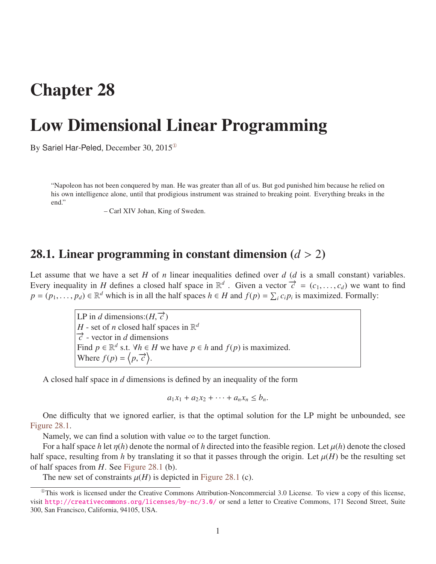## Chapter 28

# Low Dimensional Linear Programming

By Sariel Har-Peled, December 30, 2015[①](#page-0-0)

"Napoleon has not been conquered by man. He was greater than all of us. But god punished him because he relied on his own intelligence alone, until that prodigious instrument was strained to breaking point. Everything breaks in the end."

– Carl XIV Johan, King of Sweden.

#### 28.1. Linear programming in constant dimension (*<sup>d</sup>* > <sup>2</sup>)

Let assume that we have a set *H* of *n* linear inequalities defined over  $d$  ( $d$  is a small constant) variables. Every inequality in *H* defines a closed half space in  $\mathbb{R}^d$ . Given a vector  $\vec{c} = (c_1, \ldots, c_d)$  we want to find  $p = (p_i, \ldots, p_d) \in \mathbb{R}^d$  which is in all the half spaces  $h \in H$  and  $f(n) = \sum c_i p_i$  is maximized. Formal  $p = (p_1, \ldots, p_d) \in \mathbb{R}^d$  which is in all the half spaces  $h \in H$  and  $f(p) = \sum_i c_i p_i$  is maximized. Formally:

> LP in *d* dimensions: $(H, \vec{c})$ <br>*H* – set of *n* closed half spa *H* - set of *n* closed half spaces in  $\mathbb{R}^d$  $\vec{c}$  - vector in *d* dimensions Find  $p \in \mathbb{R}^d$  s.t.  $\forall h \in H$  we have  $p \in h$  and  $f(p)$  is maximized. Where  $f(p) = \langle p, \vec{c} \rangle$ .

A closed half space in *d* dimensions is defined by an inequality of the form

$$
a_1x_1 + a_2x_2 + \cdots + a_nx_n \leq b_n.
$$

One difficulty that we ignored earlier, is that the optimal solution for the LP might be unbounded, see [Figure 28.1.](#page-1-0)

Namely, we can find a solution with value  $\infty$  to the target function.

For a half space *h* let  $\eta(h)$  denote the normal of *h* directed into the feasible region. Let  $\mu(h)$  denote the closed half space, resulting from *h* by translating it so that it passes through the origin. Let  $\mu(H)$  be the resulting set of half spaces from *H*. See [Figure 28.1](#page-1-0) (b).

<span id="page-0-0"></span>The new set of constraints  $\mu(H)$  is depicted in [Figure 28.1](#page-1-0) (c).

 $^{\circ}$ This work is licensed under the Creative Commons Attribution-Noncommercial 3.0 License. To view a copy of this license, visit <http://creativecommons.org/licenses/by-nc/3.0/> or send a letter to Creative Commons, 171 Second Street, Suite 300, San Francisco, California, 94105, USA.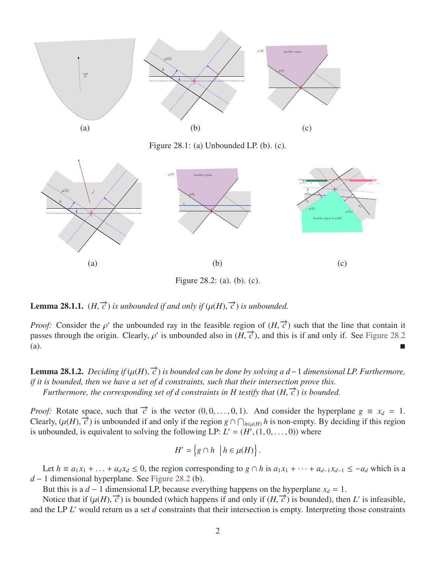<span id="page-1-0"></span>

Figure 28.1: (a) Unbounded LP. (b). (c).

<span id="page-1-1"></span>

Figure 28.2: (a). (b). (c).

**Lemma 28.1.1.**  $(H, \vec{c})$  *is unbounded if and only if*  $(\mu(H), \vec{c})$  *is unbounded.* 

*Proof:* Consider the  $\rho'$  the unbounded ray in the feasible region of  $(H, \text{ passes through the origin. Clearly } \rho'$  is unbounded also in  $(H, \vec{c})$  and t *f* the unbounded ray in the feasible region of  $(H, \vec{c})$  such that the line that contain it passes through the origin. Clearly,  $\rho'$  is unbounded also in  $(H, \vec{c})$ , and this is if and only if. See [Figure 28.2](#page-1-1) (a).

**Lemma 28.1.2.** *Deciding if*  $(\mu(H), \vec{c})$  *is bounded can be done by solving a d* – 1 *dimensional LP. Furthermore,*<br>*if it is bounded, then we have a set of d constraints, such that their intersection prove this if it is bounded, then we have a set of d constraints, such that their intersection prove this. Furthermore, the corresponding set of d constraints in H testify that*  $(H, \vec{c})$  *is bounded.* 

*Proof:* Rotate space, such that  $\vec{c}$  is the vector  $(0, 0, \ldots, 0, 1)$ . And consider the hyperplane  $g \equiv x_d = 1$ .<br>Clearly  $(u(H), \vec{c})$  is unbounded if and only if the region  $g \circ \vec{c}$  are *h* is non-empty. By deciding if *c* clearly,  $(\mu(H), \vec{c})$  is unbounded if and only if the region *g* ∩  $\bigcap_{h \in \mu(H)} h$  is non-empty. By deciding if this region is unbounded is equivalent to solving the following I P: *I'* – (*H'* (1.0 – 0)) where is unbounded, is equivalent to solving the following LP:  $L' = (H', (1, 0, \dots, 0))$  where

$$
H' = \left\{ g \cap h \: \left| h \in \mu(H) \right. \right\}.
$$

Let  $h \equiv a_1x_1 + ... + a_dx_d \le 0$ , the region corresponding to  $g \cap h$  is  $a_1x_1 + ... + a_{d-1}x_{d-1} \le -a_d$  which is a *d* − 1 dimensional hyperplane. See [Figure 28.2](#page-1-1) (b).

But this is a *d* − 1 dimensional LP, because everything happens on the hyperplane  $x_d = 1$ .

Notice that if  $(\mu(H), \vec{c})$  is bounded (which happens if and only if  $(H, \vec{c})$  is bounded), then *L'* is infeasible, the I P *I'* would return us a set *d* constraints that their intersection is empty. Interpreting those c and the LP *L'* would return us a set *d* constraints that their intersection is empty. Interpreting those constraints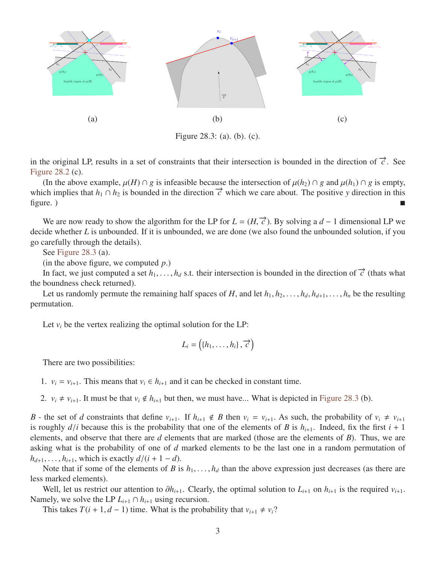<span id="page-2-0"></span>

Figure 28.3: (a). (b). (c).

in the original LP, results in a set of constraints that their intersection is bounded in the direction of  $\vec{c}$ . See [Figure 28.2](#page-1-1) (c).

(In the above example,  $\mu(H) \cap g$  is infeasible because the intersection of  $\mu(h_2) \cap g$  and  $\mu(h_1) \cap g$  is empty, which implies that  $h_1 \cap h_2$  is bounded in the direction  $\vec{c}$  which we care about. The positive *y* direction in this  $figure.$ )

We are now ready to show the algorithm for the LP for  $L = (H, \vec{c})$ . By solving a *d* − 1 dimensional LP we ide whether *L* is unbounded. If it is unbounded we are done (we also found the unbounded solution if you decide whether *L* is unbounded. If it is unbounded, we are done (we also found the unbounded solution, if you go carefully through the details).

See [Figure 28.3](#page-2-0) (a).

(in the above figure, we computed *p*.)

In fact, we just computed a set  $h_1, \ldots, h_d$  s.t. their intersection is bounded in the direction of  $\vec{c}$  (thats what boundness check returned) the boundness check returned).

Let us randomly permute the remaining half spaces of *H*, and let  $h_1, h_2, \ldots, h_d, h_{d+1}, \ldots, h_n$  be the resulting permutation.

Let  $v_i$  be the vertex realizing the optimal solution for the LP:

$$
L_i = \left( \{h_1, \ldots, h_i\}, \overrightarrow{c} \right)
$$

There are two possibilities:

1.  $v_i = v_{i+1}$ . This means that  $v_i \in h_{i+1}$  and it can be checked in constant time.

2.  $v_i \neq v_{i+1}$ . It must be that  $v_i \notin h_{i+1}$  but then, we must have... What is depicted in [Figure 28.3](#page-2-0) (b).

*B* - the set of *d* constraints that define  $v_{i+1}$ . If  $h_{i+1} \notin B$  then  $v_i = v_{i+1}$ . As such, the probability of  $v_i \neq v_{i+1}$ is roughly  $d/i$  because this is the probability that one of the elements of *B* is  $h_{i+1}$ . Indeed, fix the first  $i + 1$ elements, and observe that there are *d* elements that are marked (those are the elements of *B*). Thus, we are asking what is the probability of one of *d* marked elements to be the last one in a random permutation of  $h_{d+1}, \ldots, h_{i+1}$ , which is exactly  $d/(i + 1 - d)$ .

Note that if some of the elements of *B* is  $h_1, \ldots, h_d$  than the above expression just decreases (as there are less marked elements).

Well, let us restrict our attention to  $\partial h_{i+1}$ . Clearly, the optimal solution to  $L_{i+1}$  on  $h_{i+1}$  is the required  $v_{i+1}$ . Namely, we solve the LP  $L_{i+1} \cap h_{i+1}$  using recursion.

This takes  $T(i + 1, d - 1)$  time. What is the probability that  $v_{i+1} \neq v_i$ ?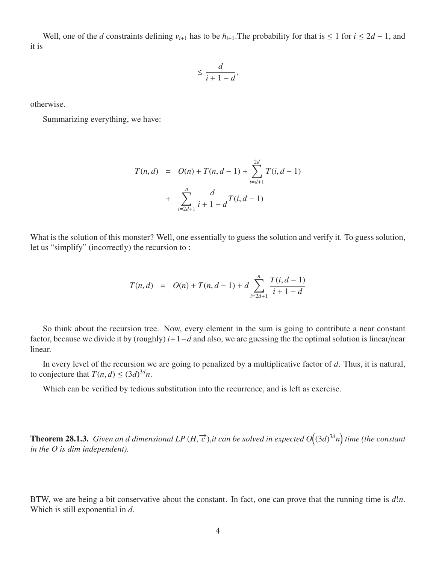Well, one of the *d* constraints defining  $v_{i+1}$  has to be  $h_{i+1}$ . The probability for that is  $\leq 1$  for  $i \leq 2d - 1$ , and it is

$$
\leq \frac{d}{i+1-d}
$$

,

otherwise.

Summarizing everything, we have:

$$
T(n,d) = O(n) + T(n,d-1) + \sum_{i=d+1}^{2d} T(i,d-1) + \sum_{i=2d+1}^{n} \frac{d}{i+1-d} T(i,d-1)
$$

What is the solution of this monster? Well, one essentially to guess the solution and verify it. To guess solution, let us "simplify" (incorrectly) the recursion to :

$$
T(n,d) = O(n) + T(n,d-1) + d \sum_{i=2d+1}^{n} \frac{T(i,d-1)}{i+1-d}
$$

So think about the recursion tree. Now, every element in the sum is going to contribute a near constant factor, because we divide it by (roughly) *i*+1−*d* and also, we are guessing the the optimal solution is linear/near linear.

In every level of the recursion we are going to penalized by a multiplicative factor of *d*. Thus, it is natural, to conjecture that  $T(n, d) \leq (3d)^{3d}n$ .

Which can be verified by tedious substitution into the recurrence, and is left as exercise.

**Theorem 28.1.3.** *Given an d dimensional LP* (*H*,  $\vec{c}$ ),*it can be solved in expected*  $O((3d)^{3d}n)$  *time (the constant in the O is dim independent*) *in the O is dim independent).*

BTW, we are being a bit conservative about the constant. In fact, one can prove that the running time is *d*!*n*. Which is still exponential in *d*.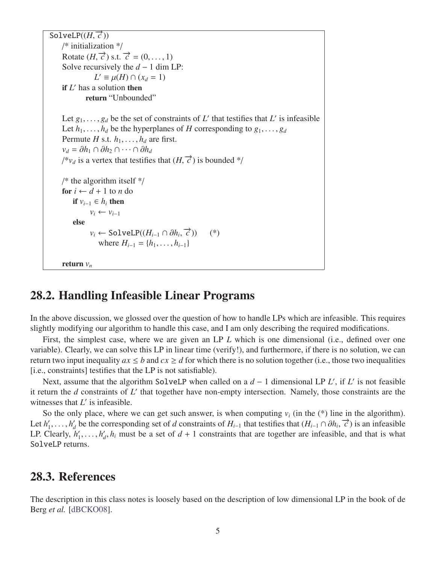```
\overline{\text{SolveLP}((H, \vec{c}))}<br>/* initialization
     /* initialization */
     Rotate (H, \vec{c}) s.t. \vec{c} = (0, \dots, 1)<br>Solve recursively the d-1 dim 1
     Solve recursively the d - 1 dim LP:
                    L' \equiv \mu(H) \cap (x_d = 1)if L' has a solution then
                return "Unbounded"
     Let g_1, \ldots, g_d be the set of constraints of L' that testifies that L' is infeasible<br>Let h, h, be the hyperplanes of H corresponding to g.
     Let h_1, \ldots, h_d be the hyperplanes of H corresponding to g_1, \ldots, g_dPermute H s.t. h_1, \ldots, h_d are first.
     v_d = \partial h_1 \cap \partial h_2 \cap \cdots \cap \partial h_d<sup>a</sup>v_d is a vertex that testifies that (H, \vec{c}) is bounded */
     /* the algorithm itself */for i \leftarrow d + 1 to n do
          if v_{i-1} ∈ h_i then
                  v_i \leftarrow v_{i-1}else
                  v_i \leftarrow \text{SolveLP}((H_{i-1} \cap \partial h_i, \vec{c})) (*)
                      where H_{i-1} = \{h_1, \ldots, h_{i-1}\}\return v_n
```
#### 28.2. Handling Infeasible Linear Programs

In the above discussion, we glossed over the question of how to handle LPs which are infeasible. This requires slightly modifying our algorithm to handle this case, and I am only describing the required modifications.

First, the simplest case, where we are given an LP *L* which is one dimensional (i.e., defined over one variable). Clearly, we can solve this LP in linear time (verify!), and furthermore, if there is no solution, we can return two input inequality  $ax \le b$  and  $cx \ge d$  for which there is no solution together (i.e., those two inequalities [i.e., constraints] testifies that the LP is not satisfiable).

Next, assume that the algorithm SolveLP when called on a  $d-1$  dimensional LP *L'*, if *L'* is not feasible it return the *d* constraints of *L'* that together have non-empty intersection. Namely, those constraints are the witnesses that  $L'$  is infeasible.

So the only place, where we can get such answer, is when computing  $v_i$  (in the  $(*)$ ) line in the algorithm). Let  $h_1$ <sup>'</sup>  $h'_1, \ldots, h'_d$ <br>
"Learly *d* be the corresponding set of *d* constraints of *H*<sub>*i*−1</sub> that testifies that  $(H_{i-1} \cap \partial h_i, \vec{c})$  is an infeasible  $h'$   $h'$ ,  $h'$ ,  $h'$ ,  $h'$ ,  $h'$ ,  $h'$ ,  $h'$ ,  $h'$ ,  $h'$ ,  $h'$ ,  $h'$ ,  $h'$ ,  $h'$ ,  $h'$ ,  $h'$ ,  $h'$ , LP. Clearly,  $h_1$  $h'_1, \ldots, h'_d$  $d<sub>d</sub>$ ,  $h<sub>i</sub>$  must be a set of  $d + 1$  constraints that are together are infeasible, and that is what SolveLP returns.

#### 28.3. References

The description in this class notes is loosely based on the description of low dimensional LP in the book of de Berg *et al.* [\[dBCKO08\]](#page-5-0).